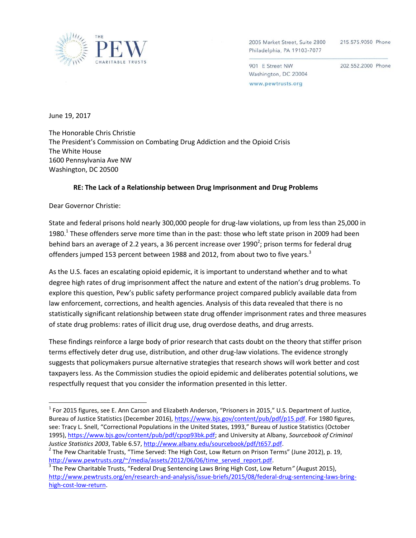

2005 Market Street, Suite 2800 Philadelphia, PA 19103-7077

215.575.9050 Phone

901 E Street NW Washington, DC 20004 www.pewtrusts.org

202.552.2000 Phone

June 19, 2017

The Honorable Chris Christie The President's Commission on Combating Drug Addiction and the Opioid Crisis The White House 1600 Pennsylvania Ave NW Washington, DC 20500

#### **RE: The Lack of a Relationship between Drug Imprisonment and Drug Problems**

Dear Governor Christie:

 $\overline{\phantom{a}}$ 

State and federal prisons hold nearly 300,000 people for drug-law violations, up from less than 25,000 in 1980.<sup>1</sup> These offenders serve more time than in the past: those who left state prison in 2009 had been behind bars an average of 2.2 years, a 36 percent increase over 1990<sup>2</sup>; prison terms for federal drug offenders jumped 153 percent between 1988 and 2012, from about two to five years.<sup>3</sup>

As the U.S. faces an escalating opioid epidemic, it is important to understand whether and to what degree high rates of drug imprisonment affect the nature and extent of the nation's drug problems. To explore this question, Pew's public safety performance project compared publicly available data from law enforcement, corrections, and health agencies. Analysis of this data revealed that there is no statistically significant relationship between state drug offender imprisonment rates and three measures of state drug problems: rates of illicit drug use, drug overdose deaths, and drug arrests.

These findings reinforce a large body of prior research that casts doubt on the theory that stiffer prison terms effectively deter drug use, distribution, and other drug-law violations. The evidence strongly suggests that policymakers pursue alternative strategies that research shows will work better and cost taxpayers less. As the Commission studies the opioid epidemic and deliberates potential solutions, we respectfully request that you consider the information presented in this letter.

<sup>&</sup>lt;sup>1</sup> For 2015 figures, see E. Ann Carson and Elizabeth Anderson, "Prisoners in 2015," U.S. Department of Justice, Bureau of Justice Statistics (December 2016), [https://www.bjs.gov/content/pub/pdf/p15.pdf.](https://www.bjs.gov/content/pub/pdf/p15.pdf) For 1980 figures, see: Tracy L. Snell, "Correctional Populations in the United States, 1993," Bureau of Justice Statistics (October 1995), [https://www.bjs.gov/content/pub/pdf/cpop93bk.pdf;](https://www.bjs.gov/content/pub/pdf/cpop93bk.pdf) and University at Albany, *Sourcebook of Criminal Justice Statistics 2003*, Table 6.57[, http://www.albany.edu/sourcebook/pdf/t657.pdf.](http://www.albany.edu/sourcebook/pdf/t657.pdf)

 $^2$  The Pew Charitable Trusts, "Time Served: The High Cost, Low Return on Prison Terms" (June 2012), p. 19, [http://www.pewtrusts.org/~/media/assets/2012/06/06/time\\_served\\_report.pdf.](http://www.pewtrusts.org/~/media/assets/2012/06/06/time_served_report.pdf)

<sup>3</sup> The Pew Charitable Trusts, "Federal Drug Sentencing Laws Bring High Cost, Low Return*"* (August 2015), [http://www.pewtrusts.org/en/research-and-analysis/issue-briefs/2015/08/federal-drug-sentencing-laws-bring](http://www.pewtrusts.org/en/research-and-analysis/issue-briefs/2015/08/federal-drug-sentencing-laws-bring-high-cost-low-return)[high-cost-low-return.](http://www.pewtrusts.org/en/research-and-analysis/issue-briefs/2015/08/federal-drug-sentencing-laws-bring-high-cost-low-return)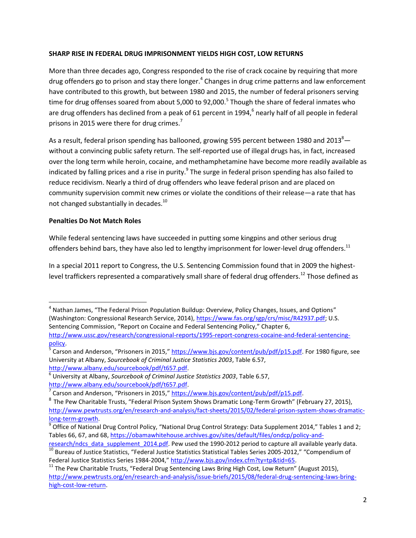### **SHARP RISE IN FEDERAL DRUG IMPRISONMENT YIELDS HIGH COST, LOW RETURNS**

More than three decades ago, Congress responded to the rise of crack cocaine by requiring that more drug offenders go to prison and stay there longer.<sup>4</sup> Changes in drug crime patterns and law enforcement have contributed to this growth, but between 1980 and 2015, the number of federal prisoners serving time for drug offenses soared from about 5,000 to 92,000.<sup>5</sup> Though the share of federal inmates who are drug offenders has declined from a peak of 61 percent in 1994,<sup>6</sup> nearly half of all people in federal prisons in 2015 were there for drug crimes.<sup>7</sup>

As a result, federal prison spending has ballooned, growing 595 percent between 1980 and 2013<sup>8</sup> $$ without a convincing public safety return. The self-reported use of illegal drugs has, in fact, increased over the long term while heroin, cocaine, and methamphetamine have become more readily available as indicated by falling prices and a rise in purity.<sup>9</sup> The surge in federal prison spending has also failed to reduce recidivism. Nearly a third of drug offenders who leave federal prison and are placed on community supervision commit new crimes or violate the conditions of their release—a rate that has not changed substantially in decades.<sup>10</sup>

# **Penalties Do Not Match Roles**

 $\overline{\phantom{a}}$ 

While federal sentencing laws have succeeded in putting some kingpins and other serious drug offenders behind bars, they have also led to lengthy imprisonment for lower-level drug offenders.<sup>11</sup>

In a special 2011 report to Congress, the U.S. Sentencing Commission found that in 2009 the highestlevel traffickers represented a comparatively small share of federal drug offenders.<sup>12</sup> Those defined as

<sup>&</sup>lt;sup>4</sup> Nathan James, "The Federal Prison Population Buildup: Overview, Policy Changes, Issues, and Options" (Washington: Congressional Research Service, 2014), [https://www.fas.org/sgp/crs/misc/R42937.pdf;](https://www.fas.org/sgp/crs/misc/R42937.pdf) U.S. Sentencing Commission, "Report on Cocaine and Federal Sentencing Policy," Chapter 6, [http://www.ussc.gov/research/congressional-reports/1995-report-congress-cocaine-and-federal-sentencing](http://www.ussc.gov/research/congressional-reports/1995-report-congress-cocaine-and-federal-sentencing-policy)[policy.](http://www.ussc.gov/research/congressional-reports/1995-report-congress-cocaine-and-federal-sentencing-policy)

<sup>&</sup>lt;sup>5</sup> Carson and Anderson, "Prisoners in 2015," [https://www.bjs.gov/content/pub/pdf/p15.pdf.](https://www.bjs.gov/content/pub/pdf/p15.pdf) For 1980 figure, see University at Albany, *Sourcebook of Criminal Justice Statistics 2003*, Table 6.57, [http://www.albany.edu/sourcebook/pdf/t657.pdf.](http://www.albany.edu/sourcebook/pdf/t657.pdf)

<sup>6</sup> University at Albany, *Sourcebook of Criminal Justice Statistics 2003*, Table 6.57, [http://www.albany.edu/sourcebook/pdf/t657.pdf.](http://www.albany.edu/sourcebook/pdf/t657.pdf)

<sup>&</sup>lt;sup>7</sup> Carson and Anderson, "Prisoners in 2015," [https://www.bjs.gov/content/pub/pdf/p15.pdf.](https://www.bjs.gov/content/pub/pdf/p15.pdf)

<sup>&</sup>lt;sup>8</sup> The Pew Charitable Trusts, "Federal Prison System Shows Dramatic Long-Term Growth" (February 27, 2015), [http://www.pewtrusts.org/en/research-and-analysis/fact-sheets/2015/02/federal-prison-system-shows-dramatic](http://www.pewtrusts.org/en/research-and-analysis/fact-sheets/2015/02/federal-prison-system-shows-dramatic-long-term-growth)[long-term-growth.](http://www.pewtrusts.org/en/research-and-analysis/fact-sheets/2015/02/federal-prison-system-shows-dramatic-long-term-growth)

<sup>&</sup>lt;sup>9</sup> Office of National Drug Control Policy, "National Drug Control Strategy: Data Supplement 2014," Tables 1 and 2; Tables 66, 67, and 68[, https://obamawhitehouse.archives.gov/sites/default/files/ondcp/policy-and-](https://obamawhitehouse.archives.gov/sites/default/files/ondcp/policy-and-research/ndcs_data_supplement_2014.pdf)

[research/ndcs\\_data\\_supplement\\_2014.pdf.](https://obamawhitehouse.archives.gov/sites/default/files/ondcp/policy-and-research/ndcs_data_supplement_2014.pdf) Pew used the 1990-2012 period to capture all available yearly data.  $\frac{10}{10}$  Bureau of Justice Statistics, "Federal Justice Statistics Statistical Tables Series 2005-2012," "Compendium of Federal Justice Statistics Series 1984-2004," [http://www.bjs.gov/index.cfm?ty=tp&tid=65.](http://www.bjs.gov/index.cfm?ty=tp&tid=65)

 $11$  The Pew Charitable Trusts, "Federal Drug Sentencing Laws Bring High Cost, Low Return" (August 2015), [http://www.pewtrusts.org/en/research-and-analysis/issue-briefs/2015/08/federal-drug-sentencing-laws-bring](http://www.pewtrusts.org/en/research-and-analysis/issue-briefs/2015/08/federal-drug-sentencing-laws-bring-high-cost-low-return)[high-cost-low-return.](http://www.pewtrusts.org/en/research-and-analysis/issue-briefs/2015/08/federal-drug-sentencing-laws-bring-high-cost-low-return)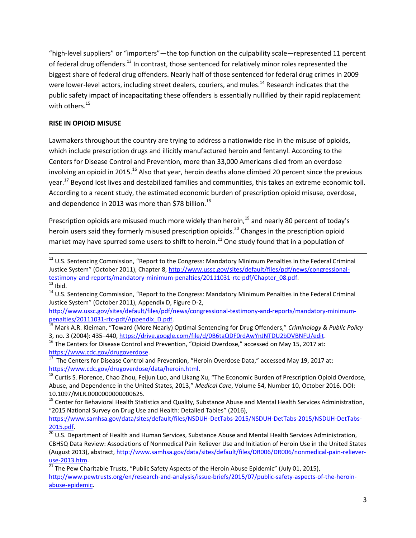"high-level suppliers" or "importers"—the top function on the culpability scale—represented 11 percent of federal drug offenders.<sup>13</sup> In contrast, those sentenced for relatively minor roles represented the biggest share of federal drug offenders. Nearly half of those sentenced for federal drug crimes in 2009 were lower-level actors, including street dealers, couriers, and mules.<sup>14</sup> Research indicates that the public safety impact of incapacitating these offenders is essentially nullified by their rapid replacement with others. 15

# **RISE IN OPIOID MISUSE**

Lawmakers throughout the country are trying to address a nationwide rise in the misuse of opioids, which include prescription drugs and illicitly manufactured heroin and fentanyl. According to the Centers for Disease Control and Prevention, more than 33,000 Americans died from an overdose involving an opioid in 2015.<sup>16</sup> Also that year, heroin deaths alone climbed 20 percent since the previous year.<sup>17</sup> Beyond lost lives and destabilized families and communities, this takes an extreme economic toll. According to a recent study, the estimated economic burden of prescription opioid misuse, overdose, and dependence in 2013 was more than \$78 billion.<sup>18</sup>

Prescription opioids are misused much more widely than heroin,<sup>19</sup> and nearly 80 percent of today's heroin users said they formerly misused prescription opioids.<sup>20</sup> Changes in the prescription opioid market may have spurred some users to shift to heroin.<sup>21</sup> One study found that in a population of

 $\overline{\phantom{a}}$ <sup>12</sup> U.S. Sentencing Commission, "Report to the Congress: Mandatory Minimum Penalties in the Federal Criminal Justice System" (October 2011), Chapter 8, [http://www.ussc.gov/sites/default/files/pdf/news/congressional](http://www.ussc.gov/sites/default/files/pdf/news/congressional-testimony-and-reports/mandatory-minimum-penalties/20111031-rtc-pdf/Chapter_08.pdf)[testimony-and-reports/mandatory-minimum-penalties/20111031-rtc-pdf/Chapter\\_08.pdf.](http://www.ussc.gov/sites/default/files/pdf/news/congressional-testimony-and-reports/mandatory-minimum-penalties/20111031-rtc-pdf/Chapter_08.pdf)  $^{13}$  Ibid.

<sup>14</sup> U.S. Sentencing Commission, "Report to the Congress: Mandatory Minimum Penalties in the Federal Criminal Justice System" (October 2011), Appendix D, Figure D-2,

[http://www.ussc.gov/sites/default/files/pdf/news/congressional-testimony-and-reports/mandatory-minimum](http://www.ussc.gov/sites/default/files/pdf/news/congressional-testimony-and-reports/mandatory-minimum-penalties/20111031-rtc-pdf/Appendix_D.pdf)[penalties/20111031-rtc-pdf/Appendix\\_D.pdf.](http://www.ussc.gov/sites/default/files/pdf/news/congressional-testimony-and-reports/mandatory-minimum-penalties/20111031-rtc-pdf/Appendix_D.pdf)

<sup>15</sup> Mark A.R. Kleiman, "Toward (More Nearly) Optimal Sentencing for Drug Offenders," *Criminology & Public Policy* 3, no. 3 (2004): 435–440, [https://drive.google.com/file/d/0B6taQDF0rdAwYnJNTDU2bDVBNFU/edit.](https://drive.google.com/file/d/0B6taQDF0rdAwYnJNTDU2bDVBNFU/edit)

<sup>&</sup>lt;sup>16</sup> The Centers for Disease Control and Prevention, "Opioid Overdose," accessed on May 15, 2017 at: [https://www.cdc.gov/drugoverdose.](https://www.cdc.gov/drugoverdose)

 $\frac{17}{17}$  The Centers for Disease Control and Prevention, "Heroin Overdose Data," accessed May 19, 2017 at: [https://www.cdc.gov/drugoverdose/data/heroin.html.](https://www.cdc.gov/drugoverdose/data/heroin.html)

<sup>18</sup> Curtis S. Florence, Chao Zhou, Feijun Luo, and Likang Xu, "The Economic Burden of Prescription Opioid Overdose, Abuse, and Dependence in the United States, 2013," *Medical Care*, Volume 54, Number 10, October 2016. DOI: 10.1097/MLR.0000000000000625.

<sup>&</sup>lt;sup>19</sup> Center for Behavioral Health Statistics and Quality, Substance Abuse and Mental Health Services Administration, "2015 National Survey on Drug Use and Health: Detailed Tables" (2016),

[https://www.samhsa.gov/data/sites/default/files/NSDUH-DetTabs-2015/NSDUH-DetTabs-2015/NSDUH-DetTabs-](https://www.samhsa.gov/data/sites/default/files/NSDUH-DetTabs-2015/NSDUH-DetTabs-2015/NSDUH-DetTabs-2015.pdf)[2015.pdf.](https://www.samhsa.gov/data/sites/default/files/NSDUH-DetTabs-2015/NSDUH-DetTabs-2015/NSDUH-DetTabs-2015.pdf)

<sup>&</sup>lt;sup>20</sup> U.S. Department of Health and Human Services, Substance Abuse and Mental Health Services Administration, CBHSQ Data Review: Associations of Nonmedical Pain Reliever Use and Initiation of Heroin Use in the United States (August 2013), abstract[, http://www.samhsa.gov/data/sites/default/files/DR006/DR006/nonmedical-pain-reliever](http://www.samhsa.gov/data/sites/default/files/DR006/DR006/nonmedical-pain-reliever-use-2013.htm)[use-2013.htm.](http://www.samhsa.gov/data/sites/default/files/DR006/DR006/nonmedical-pain-reliever-use-2013.htm)

 $^{21}$  The Pew Charitable Trusts, "Public Safety Aspects of the Heroin Abuse Epidemic" (July 01, 2015), [http://www.pewtrusts.org/en/research-and-analysis/issue-briefs/2015/07/public-safety-aspects-of-the-heroin](http://www.pewtrusts.org/en/research-and-analysis/issue-briefs/2015/07/public-safety-aspects-of-the-heroin-abuse-epidemic)[abuse-epidemic.](http://www.pewtrusts.org/en/research-and-analysis/issue-briefs/2015/07/public-safety-aspects-of-the-heroin-abuse-epidemic)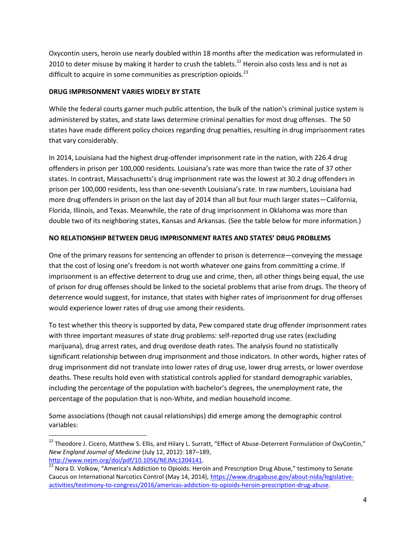Oxycontin users, heroin use nearly doubled within 18 months after the medication was reformulated in 2010 to deter misuse by making it harder to crush the tablets.<sup>22</sup> Heroin also costs less and is not as difficult to acquire in some communities as prescription opioids.<sup>23</sup>

### **DRUG IMPRISONMENT VARIES WIDELY BY STATE**

 $\overline{a}$ 

While the federal courts garner much public attention, the bulk of the nation's criminal justice system is administered by states, and state laws determine criminal penalties for most drug offenses. The 50 states have made different policy choices regarding drug penalties, resulting in drug imprisonment rates that vary considerably.

In 2014, Louisiana had the highest drug-offender imprisonment rate in the nation, with 226.4 drug offenders in prison per 100,000 residents. Louisiana's rate was more than twice the rate of 37 other states. In contrast, Massachusetts's drug imprisonment rate was the lowest at 30.2 drug offenders in prison per 100,000 residents, less than one-seventh Louisiana's rate. In raw numbers, Louisiana had more drug offenders in prison on the last day of 2014 than all but four much larger states—California, Florida, Illinois, and Texas. Meanwhile, the rate of drug imprisonment in Oklahoma was more than double two of its neighboring states, Kansas and Arkansas. (See the table below for more information.)

# **NO RELATIONSHIP BETWEEN DRUG IMPRISONMENT RATES AND STATES' DRUG PROBLEMS**

One of the primary reasons for sentencing an offender to prison is deterrence—conveying the message that the cost of losing one's freedom is not worth whatever one gains from committing a crime. If imprisonment is an effective deterrent to drug use and crime, then, all other things being equal, the use of prison for drug offenses should be linked to the societal problems that arise from drugs. The theory of deterrence would suggest, for instance, that states with higher rates of imprisonment for drug offenses would experience lower rates of drug use among their residents.

To test whether this theory is supported by data, Pew compared state drug offender imprisonment rates with three important measures of state drug problems: self-reported drug use rates (excluding marijuana), drug arrest rates, and drug overdose death rates. The analysis found no statistically significant relationship between drug imprisonment and those indicators. In other words, higher rates of drug imprisonment did not translate into lower rates of drug use, lower drug arrests, or lower overdose deaths. These results hold even with statistical controls applied for standard demographic variables, including the percentage of the population with bachelor's degrees, the unemployment rate, the percentage of the population that is non-White, and median household income.

Some associations (though not causal relationships) did emerge among the demographic control variables:

<sup>&</sup>lt;sup>22</sup> Theodore J. Cicero, Matthew S. Ellis, and Hilary L. Surratt, "Effect of Abuse-Deterrent Formulation of OxyContin," *New England Journal of Medicine* (July 12, 2012): 187–189, [http://www.nejm.org/doi/pdf/10.1056/NEJMc1204141.](http://www.nejm.org/doi/pdf/10.1056/NEJMc1204141)

 $\frac{23}{23}$  Nora D. Volkow, "America's Addiction to Opioids: Heroin and Prescription Drug Abuse," testimony to Senate Caucus on International Narcotics Control (May 14, 2014), [https://www.drugabuse.gov/about-nida/legislative](https://www.drugabuse.gov/about-nida/legislative-activities/testimony-to-congress/2016/americas-addiction-to-opioids-heroin-prescription-drug-abuse)[activities/testimony-to-congress/2016/americas-addiction-to-opioids-heroin-prescription-drug-abuse.](https://www.drugabuse.gov/about-nida/legislative-activities/testimony-to-congress/2016/americas-addiction-to-opioids-heroin-prescription-drug-abuse)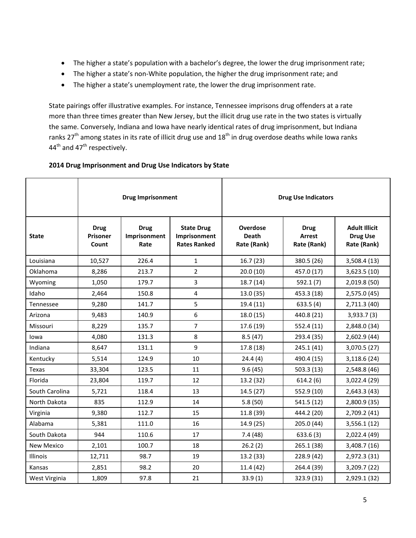- The higher a state's population with a bachelor's degree, the lower the drug imprisonment rate;
- The higher a state's non-White population, the higher the drug imprisonment rate; and
- The higher a state's unemployment rate, the lower the drug imprisonment rate.

State pairings offer illustrative examples. For instance, Tennessee imprisons drug offenders at a rate more than three times greater than New Jersey, but the illicit drug use rate in the two states is virtually the same. Conversely, Indiana and Iowa have nearly identical rates of drug imprisonment, but Indiana ranks  $27<sup>th</sup>$  among states in its rate of illicit drug use and  $18<sup>th</sup>$  in drug overdose deaths while Iowa ranks 44<sup>th</sup> and 47<sup>th</sup> respectively.

### **2014 Drug Imprisonment and Drug Use Indicators by State**

|                   | <b>Drug Imprisonment</b>                |                                     |                                                          | <b>Drug Use Indicators</b>                     |                                             |                                                        |
|-------------------|-----------------------------------------|-------------------------------------|----------------------------------------------------------|------------------------------------------------|---------------------------------------------|--------------------------------------------------------|
| <b>State</b>      | <b>Drug</b><br><b>Prisoner</b><br>Count | <b>Drug</b><br>Imprisonment<br>Rate | <b>State Drug</b><br>Imprisonment<br><b>Rates Ranked</b> | <b>Overdose</b><br><b>Death</b><br>Rate (Rank) | <b>Drug</b><br><b>Arrest</b><br>Rate (Rank) | <b>Adult Illicit</b><br><b>Drug Use</b><br>Rate (Rank) |
| Louisiana         | 10,527                                  | 226.4                               | $\mathbf{1}$                                             | 16.7(23)                                       | 380.5 (26)                                  | 3,508.4(13)                                            |
| Oklahoma          | 8,286                                   | 213.7                               | $\overline{2}$                                           | 20.0(10)                                       | 457.0 (17)                                  | 3,623.5 (10)                                           |
| Wyoming           | 1,050                                   | 179.7                               | 3                                                        | 18.7 (14)                                      | 592.1 (7)                                   | 2,019.8 (50)                                           |
| Idaho             | 2,464                                   | 150.8                               | 4                                                        | 13.0(35)                                       | 453.3 (18)                                  | 2,575.0 (45)                                           |
| <b>Tennessee</b>  | 9,280                                   | 141.7                               | 5                                                        | 19.4(11)                                       | 633.5(4)                                    | 2,711.3 (40)                                           |
| Arizona           | 9,483                                   | 140.9                               | 6                                                        | 18.0 (15)                                      | 440.8 (21)                                  | 3,933.7(3)                                             |
| Missouri          | 8,229                                   | 135.7                               | 7                                                        | 17.6 (19)                                      | 552.4 (11)                                  | 2,848.0 (34)                                           |
| lowa              | 4,080                                   | 131.3                               | 8                                                        | 8.5(47)                                        | 293.4 (35)                                  | 2,602.9 (44)                                           |
| Indiana           | 8,647                                   | 131.1                               | 9                                                        | 17.8 (18)                                      | 245.1 (41)                                  | 3,070.5 (27)                                           |
| Kentucky          | 5,514                                   | 124.9                               | 10                                                       | 24.4(4)                                        | 490.4 (15)                                  | 3,118.6 (24)                                           |
| Texas             | 33,304                                  | 123.5                               | 11                                                       | 9.6(45)                                        | 503.3 (13)                                  | 2,548.8 (46)                                           |
| Florida           | 23,804                                  | 119.7                               | 12                                                       | 13.2 (32)                                      | 614.2(6)                                    | 3,022.4 (29)                                           |
| South Carolina    | 5,721                                   | 118.4                               | 13                                                       | 14.5(27)                                       | 552.9 (10)                                  | 2,643.3 (43)                                           |
| North Dakota      | 835                                     | 112.9                               | 14                                                       | 5.8(50)                                        | 541.5 (12)                                  | 2,800.9 (35)                                           |
| Virginia          | 9,380                                   | 112.7                               | 15                                                       | 11.8 (39)                                      | 444.2 (20)                                  | 2,709.2 (41)                                           |
| Alabama           | 5,381                                   | 111.0                               | 16                                                       | 14.9 (25)                                      | 205.0 (44)                                  | 3,556.1(12)                                            |
| South Dakota      | 944                                     | 110.6                               | 17                                                       | 7.4(48)                                        | 633.6(3)                                    | 2,022.4 (49)                                           |
| <b>New Mexico</b> | 2,101                                   | 100.7                               | 18                                                       | 26.2(2)                                        | 265.1 (38)                                  | 3,408.7 (16)                                           |
| <b>Illinois</b>   | 12,711                                  | 98.7                                | 19                                                       | 13.2 (33)                                      | 228.9 (42)                                  | 2,972.3 (31)                                           |
| Kansas            | 2,851                                   | 98.2                                | 20                                                       | 11.4 (42)                                      | 264.4 (39)                                  | 3,209.7 (22)                                           |
| West Virginia     | 1,809                                   | 97.8                                | 21                                                       | 33.9(1)                                        | 323.9 (31)                                  | 2,929.1 (32)                                           |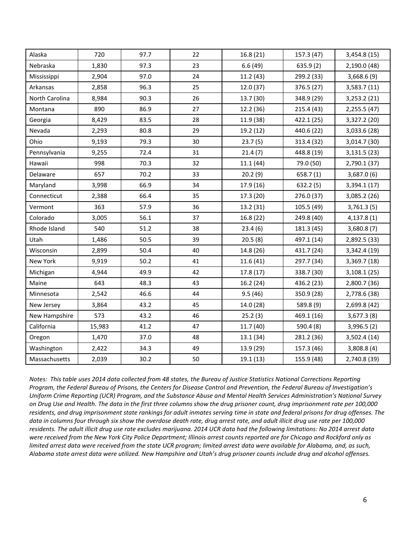| Alaska         | 720    | 97.7 | 22 | 16.8 (21) | 157.3 (47) | 3,454.8 (15) |
|----------------|--------|------|----|-----------|------------|--------------|
| Nebraska       | 1,830  | 97.3 | 23 | 6.6(49)   | 635.9(2)   | 2,190.0 (48) |
| Mississippi    | 2,904  | 97.0 | 24 | 11.2(43)  | 299.2 (33) | 3,668.6(9)   |
| Arkansas       | 2,858  | 96.3 | 25 | 12.0 (37) | 376.5 (27) | 3,583.7(11)  |
| North Carolina | 8,984  | 90.3 | 26 | 13.7 (30) | 348.9 (29) | 3,253.2(21)  |
| Montana        | 890    | 86.9 | 27 | 12.2 (36) | 215.4 (43) | 2,255.5 (47) |
| Georgia        | 8,429  | 83.5 | 28 | 11.9 (38) | 422.1 (25) | 3,327.2 (20) |
| Nevada         | 2,293  | 80.8 | 29 | 19.2 (12) | 440.6 (22) | 3,033.6 (28) |
| Ohio           | 9,193  | 79.3 | 30 | 23.7(5)   | 313.4 (32) | 3,014.7 (30) |
| Pennsylvania   | 9,255  | 72.4 | 31 | 21.4(7)   | 448.8 (19) | 3,131.5(23)  |
| Hawaii         | 998    | 70.3 | 32 | 11.1(44)  | 79.0 (50)  | 2,790.1 (37) |
| Delaware       | 657    | 70.2 | 33 | 20.2(9)   | 658.7(1)   | 3,687.0(6)   |
| Maryland       | 3,998  | 66.9 | 34 | 17.9 (16) | 632.2(5)   | 3,394.1 (17) |
| Connecticut    | 2,388  | 66.4 | 35 | 17.3 (20) | 276.0 (37) | 3,085.2 (26) |
| Vermont        | 363    | 57.9 | 36 | 13.2 (31) | 105.5 (49) | 3,761.3(5)   |
| Colorado       | 3,005  | 56.1 | 37 | 16.8(22)  | 249.8 (40) | 4,137.8(1)   |
| Rhode Island   | 540    | 51.2 | 38 | 23.4(6)   | 181.3 (45) | 3,680.8(7)   |
| Utah           | 1,486  | 50.5 | 39 | 20.5(8)   | 497.1 (14) | 2,892.5 (33) |
| Wisconsin      | 2,899  | 50.4 | 40 | 14.8 (26) | 431.7 (24) | 3,342.4 (19) |
| New York       | 9,919  | 50.2 | 41 | 11.6(41)  | 297.7 (34) | 3,369.7 (18) |
| Michigan       | 4,944  | 49.9 | 42 | 17.8 (17) | 338.7 (30) | 3,108.1(25)  |
| Maine          | 643    | 48.3 | 43 | 16.2(24)  | 436.2 (23) | 2,800.7 (36) |
| Minnesota      | 2,542  | 46.6 | 44 | 9.5(46)   | 350.9 (28) | 2,778.6 (38) |
| New Jersey     | 3,864  | 43.2 | 45 | 14.0 (28) | 589.8 (9)  | 2,699.8 (42) |
| New Hampshire  | 573    | 43.2 | 46 | 25.2(3)   | 469.1 (16) | 3,677.3(8)   |
| California     | 15,983 | 41.2 | 47 | 11.7(40)  | 590.4 (8)  | 3,996.5(2)   |
| Oregon         | 1,470  | 37.0 | 48 | 13.1 (34) | 281.2 (36) | 3,502.4 (14) |
| Washington     | 2,422  | 34.3 | 49 | 13.9 (29) | 157.3 (46) | 3,808.8(4)   |
| Massachusetts  | 2,039  | 30.2 | 50 | 19.1(13)  | 155.9 (48) | 2,740.8 (39) |

*Notes: This table uses 2014 data collected from 48 states, the Bureau of Justice Statistics National Corrections Reporting Program, the Federal Bureau of Prisons, the Centers for Disease Control and Prevention, the Federal Bureau of Investigation's Uniform Crime Reporting (UCR) Program, and the Substance Abuse and Mental Health Services Administration's National Survey on Drug Use and Health. The data in the first three columns show the drug prisoner count, drug imprisonment rate per 100,000 residents, and drug imprisonment state rankings for adult inmates serving time in state and federal prisons for drug offenses. The data in columns four through six show the overdose death rate, drug arrest rate, and adult illicit drug use rate per 100,000 residents. The adult illicit drug use rate excludes marijuana. 2014 UCR data had the following limitations: No 2014 arrest data were received from the New York City Police Department; Illinois arrest counts reported are for Chicago and Rockford only as*  limited arrest data were received from the state UCR program; limited arrest data were available for Alabama, and, as such, *Alabama state arrest data were utilized. New Hampshire and Utah's drug prisoner counts include drug and alcohol offenses.*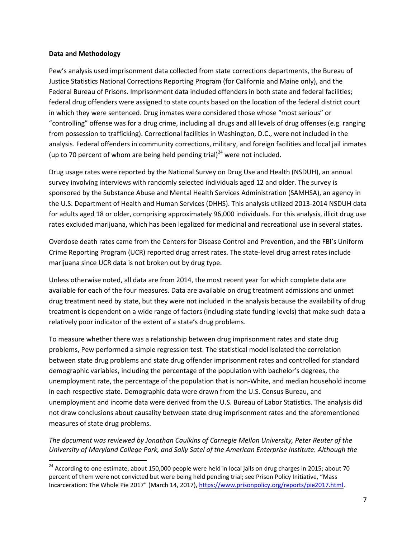#### **Data and Methodology**

 $\overline{\phantom{a}}$ 

Pew's analysis used imprisonment data collected from state corrections departments, the Bureau of Justice Statistics National Corrections Reporting Program (for California and Maine only), and the Federal Bureau of Prisons. Imprisonment data included offenders in both state and federal facilities; federal drug offenders were assigned to state counts based on the location of the federal district court in which they were sentenced. Drug inmates were considered those whose "most serious" or "controlling" offense was for a drug crime, including all drugs and all levels of drug offenses (e.g. ranging from possession to trafficking). Correctional facilities in Washington, D.C., were not included in the analysis. Federal offenders in community corrections, military, and foreign facilities and local jail inmates (up to 70 percent of whom are being held pending trial)<sup>24</sup> were not included.

Drug usage rates were reported by the National Survey on Drug Use and Health (NSDUH), an annual survey involving interviews with randomly selected individuals aged 12 and older. The survey is sponsored by the Substance Abuse and Mental Health Services Administration (SAMHSA), an agency in the U.S. Department of Health and Human Services (DHHS). This analysis utilized 2013-2014 NSDUH data for adults aged 18 or older, comprising approximately 96,000 individuals. For this analysis, illicit drug use rates excluded marijuana, which has been legalized for medicinal and recreational use in several states.

Overdose death rates came from the Centers for Disease Control and Prevention, and the FBI's Uniform Crime Reporting Program (UCR) reported drug arrest rates. The state-level drug arrest rates include marijuana since UCR data is not broken out by drug type.

Unless otherwise noted, all data are from 2014, the most recent year for which complete data are available for each of the four measures. Data are available on drug treatment admissions and unmet drug treatment need by state, but they were not included in the analysis because the availability of drug treatment is dependent on a wide range of factors (including state funding levels) that make such data a relatively poor indicator of the extent of a state's drug problems.

To measure whether there was a relationship between drug imprisonment rates and state drug problems, Pew performed a simple regression test. The statistical model isolated the correlation between state drug problems and state drug offender imprisonment rates and controlled for standard demographic variables, including the percentage of the population with bachelor's degrees, the unemployment rate, the percentage of the population that is non-White, and median household income in each respective state. Demographic data were drawn from the U.S. Census Bureau, and unemployment and income data were derived from the U.S. Bureau of Labor Statistics. The analysis did not draw conclusions about causality between state drug imprisonment rates and the aforementioned measures of state drug problems.

*The document was reviewed by Jonathan Caulkins of Carnegie Mellon University, Peter Reuter of the University of Maryland College Park, and Sally Satel of the American Enterprise Institute. Although the* 

 $^{24}$  According to one estimate, about 150,000 people were held in local jails on drug charges in 2015; about 70 percent of them were not convicted but were being held pending trial; see Prison Policy Initiative, "Mass Incarceration: The Whole Pie 2017" (March 14, 2017), [https://www.prisonpolicy.org/reports/pie2017.html.](https://www.prisonpolicy.org/reports/pie2017.html)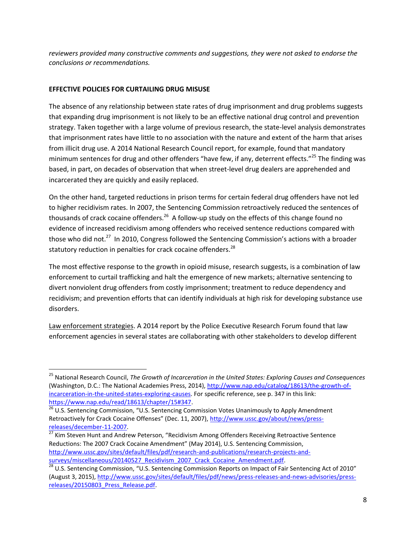*reviewers provided many constructive comments and suggestions, they were not asked to endorse the conclusions or recommendations.* 

# **EFFECTIVE POLICIES FOR CURTAILING DRUG MISUSE**

 $\overline{\phantom{a}}$ 

The absence of any relationship between state rates of drug imprisonment and drug problems suggests that expanding drug imprisonment is not likely to be an effective national drug control and prevention strategy. Taken together with a large volume of previous research, the state-level analysis demonstrates that imprisonment rates have little to no association with the nature and extent of the harm that arises from illicit drug use. A 2014 National Research Council report, for example, found that mandatory minimum sentences for drug and other offenders "have few, if any, deterrent effects."<sup>25</sup> The finding was based, in part, on decades of observation that when street-level drug dealers are apprehended and incarcerated they are quickly and easily replaced.

On the other hand, targeted reductions in prison terms for certain federal drug offenders have not led to higher recidivism rates. In 2007, the Sentencing Commission retroactively reduced the sentences of thousands of crack cocaine offenders.<sup>26</sup> A follow-up study on the effects of this change found no evidence of increased recidivism among offenders who received sentence reductions compared with those who did not.<sup>27</sup> In 2010, Congress followed the Sentencing Commission's actions with a broader statutory reduction in penalties for crack cocaine offenders.<sup>28</sup>

The most effective response to the growth in opioid misuse, research suggests, is a combination of law enforcement to curtail trafficking and halt the emergence of new markets; alternative sentencing to divert nonviolent drug offenders from costly imprisonment; treatment to reduce dependency and recidivism; and prevention efforts that can identify individuals at high risk for developing substance use disorders.

Law enforcement strategies. A 2014 report by the Police Executive Research Forum found that law enforcement agencies in several states are collaborating with other stakeholders to develop different

<sup>27</sup> Kim Steven Hunt and Andrew Peterson, "Recidivism Among Offenders Receiving Retroactive Sentence Reductions: The 2007 Crack Cocaine Amendment" (May 2014), U.S. Sentencing Commission, [http://www.ussc.gov/sites/default/files/pdf/research-and-publications/research-projects-and](http://www.ussc.gov/sites/default/files/pdf/research-and-publications/research-projects-and-surveys/miscellaneous/20140527_Recidivism_2007_Crack_Cocaine_Amendment.pdf)surveys/miscellaneous/20140527 Recidivism 2007 Crack Cocaine Amendment.pdf.

<sup>25</sup> National Research Council, *The Growth of Incarceration in the United States: Exploring Causes and Consequences* (Washington, D.C.: The National Academies Press, 2014), [http://www.nap.edu/catalog/18613/the-growth-of](http://www.nap.edu/catalog/18613/the-growth-of-incarceration-in-the-united-states-exploring-causes)[incarceration-in-the-united-states-exploring-causes.](http://www.nap.edu/catalog/18613/the-growth-of-incarceration-in-the-united-states-exploring-causes) For specific reference, see p. 347 in this link: [https://www.nap.edu/read/18613/chapter/15#347.](https://www.nap.edu/read/18613/chapter/15#347)

<sup>&</sup>lt;sup>26</sup> U.S. Sentencing Commission, "U.S. Sentencing Commission Votes Unanimously to Apply Amendment Retroactively for Crack Cocaine Offenses" (Dec. 11, 2007), [http://www.ussc.gov/about/news/press](http://www.ussc.gov/about/news/press-releases/december-11-2007)[releases/december-11-2007.](http://www.ussc.gov/about/news/press-releases/december-11-2007)

 $28$  U.S. Sentencing Commission, "U.S. Sentencing Commission Reports on Impact of Fair Sentencing Act of 2010" (August 3, 2015)[, http://www.ussc.gov/sites/default/files/pdf/news/press-releases-and-news-advisories/press](http://www.ussc.gov/sites/default/files/pdf/news/press-releases-and-news-advisories/press-releases/20150803_Press_Release.pdf)releases/20150803 Press Release.pdf.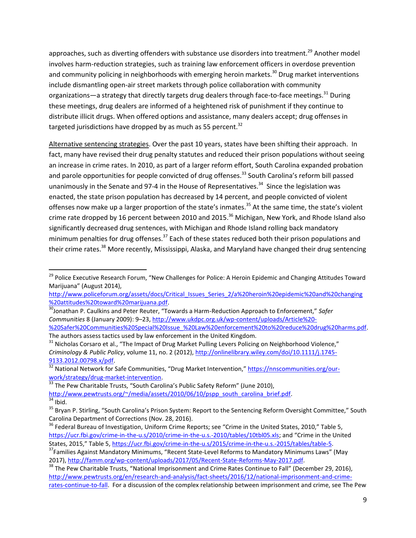approaches, such as diverting offenders with substance use disorders into treatment.<sup>29</sup> Another model involves harm-reduction strategies, such as training law enforcement officers in overdose prevention and community policing in neighborhoods with emerging heroin markets.<sup>30</sup> Drug market interventions include dismantling open-air street markets through police collaboration with community organizations—a strategy that directly targets drug dealers through face-to-face meetings.<sup>31</sup> During these meetings, drug dealers are informed of a heightened risk of punishment if they continue to distribute illicit drugs. When offered options and assistance, many dealers accept; drug offenses in targeted jurisdictions have dropped by as much as 55 percent. $32$ 

Alternative sentencing strategies. Over the past 10 years, states have been shifting their approach. In fact, many have revised their drug penalty statutes and reduced their prison populations without seeing an increase in crime rates. In 2010, as part of a larger reform effort, South Carolina expanded probation and parole opportunities for people convicted of drug offenses.<sup>33</sup> South Carolina's reform bill passed unanimously in the Senate and 97-4 in the House of Representatives.<sup>34</sup> Since the legislation was enacted, the state prison population has decreased by 14 percent, and people convicted of violent offenses now make up a larger proportion of the state's inmates.<sup>35</sup> At the same time, the state's violent crime rate dropped by 16 percent between 2010 and 2015.<sup>36</sup> Michigan, New York, and Rhode Island also significantly decreased drug sentences, with Michigan and Rhode Island rolling back mandatory minimum penalties for drug offenses.<sup>37</sup> Each of these states reduced both their prison populations and their crime rates.<sup>38</sup> More recently, Mississippi, Alaska, and Maryland have changed their drug sentencing

 $\overline{\phantom{a}}$ 

<sup>&</sup>lt;sup>29</sup> Police Executive Research Forum, "New Challenges for Police: A Heroin Epidemic and Changing Attitudes Toward Marijuana" (August 2014),

[http://www.policeforum.org/assets/docs/Critical\\_Issues\\_Series\\_2/a%20heroin%20epidemic%20and%20changing](http://www.policeforum.org/assets/docs/Critical_Issues_Series_2/a%20heroin%20epidemic%20and%20changing%20attitudes%20toward%20marijuana.pdf) [%20attitudes%20toward%20marijuana.pdf.](http://www.policeforum.org/assets/docs/Critical_Issues_Series_2/a%20heroin%20epidemic%20and%20changing%20attitudes%20toward%20marijuana.pdf)

<sup>30</sup>Jonathan P. Caulkins and Peter Reuter, "Towards a Harm-Reduction Approach to Enforcement," *Safer Communities* 8 (January 2009): 9–23[, http://www.ukdpc.org.uk/wp-content/uploads/Article%20-](http://www.ukdpc.org.uk/wp-content/uploads/Article%20-%20Safer%20Communities%20Special%20Issue_%20Law%20enforcement%20to%20reduce%20drug%20harms.pdf) [%20Safer%20Communities%20Special%20Issue\\_%20Law%20enforcement%20to%20reduce%20drug%20harms.pdf.](http://www.ukdpc.org.uk/wp-content/uploads/Article%20-%20Safer%20Communities%20Special%20Issue_%20Law%20enforcement%20to%20reduce%20drug%20harms.pdf) The authors assess tactics used by law enforcement in the United Kingdom.

<sup>&</sup>lt;sup>31</sup> Nicholas Corsaro et al., "The Impact of Drug Market Pulling Levers Policing on Neighborhood Violence," *Criminology & Public Policy*, volume 11, no. 2 (2012)[, http://onlinelibrary.wiley.com/doi/10.1111/j.1745-](http://onlinelibrary.wiley.com/doi/10.1111/j.1745-9133.2012.00798.x/pdf) [9133.2012.00798.x/pdf.](http://onlinelibrary.wiley.com/doi/10.1111/j.1745-9133.2012.00798.x/pdf)

<sup>32</sup> National Network for Safe Communities, "Drug Market Intervention," [https://nnscommunities.org/our](https://nnscommunities.org/our-work/strategy/drug-market-intervention)[work/strategy/drug-market-intervention.](https://nnscommunities.org/our-work/strategy/drug-market-intervention)

<sup>&</sup>lt;sup>33</sup> The Pew Charitable Trusts, "South Carolina's Public Safety Reform" (June 2010), [http://www.pewtrusts.org/~/media/assets/2010/06/10/pspp\\_south\\_carolina\\_brief.pdf.](http://www.pewtrusts.org/~/media/assets/2010/06/10/pspp_south_carolina_brief.pdf)  $\overline{\overline{34}}$  Ibid.

<sup>&</sup>lt;sup>35</sup> Bryan P. Stirling, "South Carolina's Prison System: Report to the Sentencing Reform Oversight Committee," South Carolina Department of Corrections (Nov. 28, 2016).

<sup>&</sup>lt;sup>36</sup> Federal Bureau of Investigation, Uniform Crime Reports; see "Crime in the United States, 2010," Table 5, <https://ucr.fbi.gov/crime-in-the-u.s/2010/crime-in-the-u.s.-2010/tables/10tbl05.xls>; and "Crime in the United States, 2015," Table 5, [https://ucr.fbi.gov/crime-in-the-u.s/2015/crime-in-the-u.s.-2015/tables/table-5.](https://ucr.fbi.gov/crime-in-the-u.s/2015/crime-in-the-u.s.-2015/tables/table-5)

<sup>&</sup>lt;sup>37</sup>Families Against Mandatory Minimums, "Recent State-Level Reforms to Mandatory Minimums Laws" (May 2017), [http://famm.org/wp-content/uploads/2017/05/Recent-State-Reforms-May-2017.pdf.](http://famm.org/wp-content/uploads/2017/05/Recent-State-Reforms-May-2017.pdf)

<sup>&</sup>lt;sup>38</sup> The Pew Charitable Trusts, "National Imprisonment and Crime Rates Continue to Fall" (December 29, 2016), [http://www.pewtrusts.org/en/research-and-analysis/fact-sheets/2016/12/national-imprisonment-and-crime](http://www.pewtrusts.org/en/research-and-analysis/fact-sheets/2016/12/national-imprisonment-and-crime-rates-continue-to-fall)[rates-continue-to-fall.](http://www.pewtrusts.org/en/research-and-analysis/fact-sheets/2016/12/national-imprisonment-and-crime-rates-continue-to-fall) For a discussion of the complex relationship between imprisonment and crime, see The Pew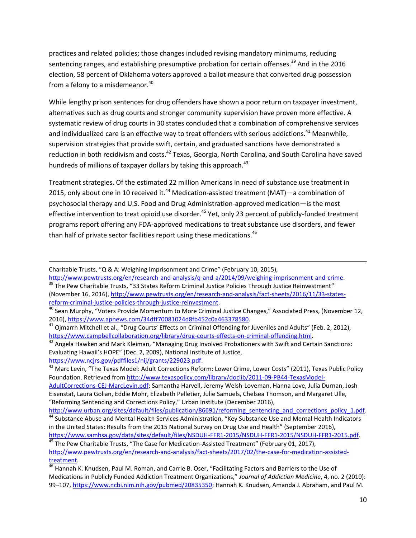practices and related policies; those changes included revising mandatory minimums, reducing sentencing ranges, and establishing presumptive probation for certain offenses.<sup>39</sup> And in the 2016 election, 58 percent of Oklahoma voters approved a ballot measure that converted drug possession from a felony to a misdemeanor.<sup>40</sup>

While lengthy prison sentences for drug offenders have shown a poor return on taxpayer investment, alternatives such as drug courts and stronger community supervision have proven more effective. A systematic review of drug courts in 30 states concluded that a combination of comprehensive services and individualized care is an effective way to treat offenders with serious addictions.<sup>41</sup> Meanwhile, supervision strategies that provide swift, certain, and graduated sanctions have demonstrated a reduction in both recidivism and costs.<sup>42</sup> Texas, Georgia, North Carolina, and South Carolina have saved hundreds of millions of taxpayer dollars by taking this approach.<sup>43</sup>

Treatment strategies. Of the estimated 22 million Americans in need of substance use treatment in 2015, only about one in 10 received it.<sup>44</sup> Medication-assisted treatment (MAT)—a combination of psychosocial therapy and U.S. Food and Drug Administration-approved medication—is the most effective intervention to treat opioid use disorder.<sup>45</sup> Yet, only 23 percent of publicly-funded treatment programs report offering any FDA-approved medications to treat substance use disorders, and fewer than half of private sector facilities report using these medications. $^{46}$ 

Charitable Trusts, "Q & A: Weighing Imprisonment and Crime" (February 10, 2015),

[http://www.pewtrusts.org/en/research-and-analysis/q-and-a/2014/09/weighing-imprisonment-and-crime.](http://www.pewtrusts.org/en/research-and-analysis/q-and-a/2014/09/weighing-imprisonment-and-crime) <sup>39</sup> The Pew Charitable Trusts, "33 States Reform Criminal Justice Policies Through Justice Reinvestment" (November 16, 2016), [http://www.pewtrusts.org/en/research-and-analysis/fact-sheets/2016/11/33-states](http://www.pewtrusts.org/en/research-and-analysis/fact-sheets/2016/11/33-states-reform-criminal-justice-policies-through-justice-reinvestment)[reform-criminal-justice-policies-through-justice-reinvestment.](http://www.pewtrusts.org/en/research-and-analysis/fact-sheets/2016/11/33-states-reform-criminal-justice-policies-through-justice-reinvestment)

 $^{40}$  Sean Murphy, "Voters Provide Momentum to More Criminal Justice Changes," Associated Press, (November 12, 2016), [https://www.apnews.com/34dff70081024d8fb452c0a463378580.](https://www.apnews.com/34dff70081024d8fb452c0a463378580)

<sup>42</sup> Angela Hawken and Mark Kleiman, "Managing Drug Involved Probationers with Swift and Certain Sanctions: Evaluating Hawaii's HOPE" (Dec. 2, 2009), National Institute of Justice,

[https://www.ncjrs.gov/pdffiles1/nij/grants/229023.pdf.](https://www.ncjrs.gov/pdffiles1/nij/grants/229023.pdf)

 $\overline{\phantom{a}}$ 

[AdultCorrections-CEJ-MarcLevin.pdf;](http://www.texaspolicy.com/library/doclib/2011-09-PB44-TexasModel-AdultCorrections-CEJ-MarcLevin.pdf) Samantha Harvell, Jeremy Welsh-Loveman, Hanna Love, Julia Durnan, Josh Eisenstat, Laura Golian, Eddie Mohr, Elizabeth Pelletier, Julie Samuels, Chelsea Thomson, and Margaret Ulle, "Reforming Sentencing and Corrections Policy," Urban Institute (December 2016),

[http://www.urban.org/sites/default/files/publication/86691/reforming\\_sentencing\\_and\\_corrections\\_policy\\_1.pdf.](http://www.urban.org/sites/default/files/publication/86691/reforming_sentencing_and_corrections_policy_1.pdf) 44 Substance Abuse and Mental Health Services Administration, "Key Substance Use and Mental Health Indicators in the United States: Results from the 2015 National Survey on Drug Use and Health" (September 2016),

[https://www.samhsa.gov/data/sites/default/files/NSDUH-FFR1-2015/NSDUH-FFR1-2015/NSDUH-FFR1-2015.pdf.](https://www.samhsa.gov/data/sites/default/files/NSDUH-FFR1-2015/NSDUH-FFR1-2015/NSDUH-FFR1-2015.pdf)  $45$  The Pew Charitable Trusts, "The Case for Medication-Assisted Treatment" (February 01, 2017), [http://www.pewtrusts.org/en/research-and-analysis/fact-sheets/2017/02/the-case-for-medication-assisted](http://www.pewtrusts.org/en/research-and-analysis/fact-sheets/2017/02/the-case-for-medication-assisted-treatment)[treatment.](http://www.pewtrusts.org/en/research-and-analysis/fact-sheets/2017/02/the-case-for-medication-assisted-treatment)

 $^{41}$  Ojmarrh Mitchell et al., "Drug Courts' Effects on Criminal Offending for Juveniles and Adults" (Feb. 2, 2012), [https://www.campbellcollaboration.org/library/drug-courts-effects-on-criminal-offending.html.](https://www.campbellcollaboration.org/library/drug-courts-effects-on-criminal-offending.html)

<sup>&</sup>lt;sup>43</sup> Marc Levin, "The Texas Model: Adult Corrections Reform: Lower Crime, Lower Costs" (2011), Texas Public Policy Foundation. Retrieved from [http://www.texaspolicy.com/library/doclib/2011-09-PB44-TexasModel-](http://www.texaspolicy.com/library/doclib/2011-09-PB44-TexasModel-AdultCorrections-CEJ-MarcLevin.pdf)

<sup>&</sup>lt;sup>46</sup> Hannah K. Knudsen, Paul M. Roman, and Carrie B. Oser, "Facilitating Factors and Barriers to the Use of Medications in Publicly Funded Addiction Treatment Organizations," *Journal of Addiction Medicine*, 4, no. 2 (2010): 99–107, [https://www.ncbi.nlm.nih.gov/pubmed/20835350;](https://www.ncbi.nlm.nih.gov/pubmed/20835350) Hannah K. Knudsen, Amanda J. Abraham, and Paul M.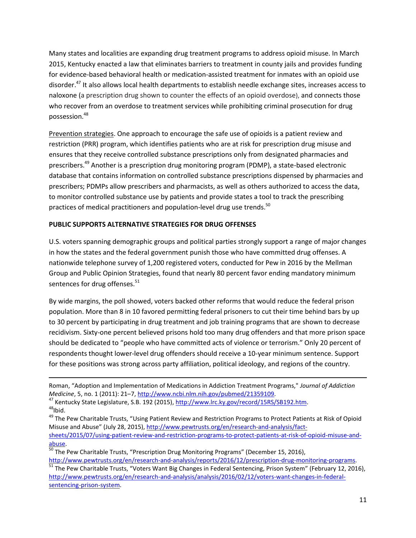Many states and localities are expanding drug treatment programs to address opioid misuse. In March 2015, Kentucky enacted a law that eliminates barriers to treatment in county jails and provides funding for evidence-based behavioral health or medication-assisted treatment for inmates with an opioid use disorder.<sup>47</sup> It also allows local health departments to establish needle exchange sites, increases access to naloxone (a prescription drug shown to counter the effects of an opioid overdose), and connects those who recover from an overdose to treatment services while prohibiting criminal prosecution for drug possession.<sup>48</sup>

Prevention strategies. One approach to encourage the safe use of opioids is a patient review and restriction (PRR) program, which identifies patients who are at risk for prescription drug misuse and ensures that they receive controlled substance prescriptions only from designated pharmacies and prescribers.<sup>49</sup> Another is a prescription drug monitoring program (PDMP), a state-based electronic database that contains information on controlled substance prescriptions dispensed by pharmacies and prescribers; PDMPs allow prescribers and pharmacists, as well as others authorized to access the data, to monitor controlled substance use by patients and provide states a tool to track the prescribing practices of medical practitioners and population-level drug use trends.<sup>50</sup>

# **PUBLIC SUPPORTS ALTERNATIVE STRATEGIES FOR DRUG OFFENSES**

l

U.S. voters spanning demographic groups and political parties strongly support a range of major changes in how the states and the federal government punish those who have committed drug offenses. A nationwide telephone survey of 1,200 registered voters, conducted for Pew in 2016 by the Mellman Group and Public Opinion Strategies, found that nearly 80 percent favor ending mandatory minimum sentences for drug offenses.<sup>51</sup>

By wide margins, the poll showed, voters backed other reforms that would reduce the federal prison population. More than 8 in 10 favored permitting federal prisoners to cut their time behind bars by up to 30 percent by participating in drug treatment and job training programs that are shown to decrease recidivism. Sixty-one percent believed prisons hold too many drug offenders and that more prison space should be dedicated to "people who have committed acts of violence or terrorism." Only 20 percent of respondents thought lower-level drug offenders should receive a 10-year minimum sentence. Support for these positions was strong across party affiliation, political ideology, and regions of the country.

Roman, "Adoption and Implementation of Medications in Addiction Treatment Programs," *Journal of Addiction Medicine*, 5, no. 1 (2011): 21–7[, http://www.ncbi.nlm.nih.gov/pubmed/21359109.](http://www.ncbi.nlm.nih.gov/pubmed/21359109)

<sup>&</sup>lt;sup>47</sup> Kentucky State Legislature, S.B. 192 (2015)[, http://www.lrc.ky.gov/record/15RS/SB192.htm.](http://www.lrc.ky.gov/record/15RS/SB192.htm)  $48$ Ibid.

<sup>&</sup>lt;sup>49</sup> The Pew Charitable Trusts, "Using Patient Review and Restriction Programs to Protect Patients at Risk of Opioid Misuse and Abuse" (July 28, 2015), [http://www.pewtrusts.org/en/research-and-analysis/fact](http://www.pewtrusts.org/en/research-and-analysis/fact-sheets/2015/07/using-patient-review-and-restriction-programs-to-protect-patients-at-risk-of-opioid-misuse-and-abuse)[sheets/2015/07/using-patient-review-and-restriction-programs-to-protect-patients-at-risk-of-opioid-misuse-and](http://www.pewtrusts.org/en/research-and-analysis/fact-sheets/2015/07/using-patient-review-and-restriction-programs-to-protect-patients-at-risk-of-opioid-misuse-and-abuse)[abuse.](http://www.pewtrusts.org/en/research-and-analysis/fact-sheets/2015/07/using-patient-review-and-restriction-programs-to-protect-patients-at-risk-of-opioid-misuse-and-abuse)

<sup>&</sup>lt;sup>50</sup> The Pew Charitable Trusts, "Prescription Drug Monitoring Programs" (December 15, 2016),

[http://www.pewtrusts.org/en/research-and-analysis/reports/2016/12/prescription-drug-monitoring-programs.](http://www.pewtrusts.org/en/research-and-analysis/reports/2016/12/prescription-drug-monitoring-programs)  $\frac{51}{10}$  The Pew Charitable Trusts, "Voters Want Big Changes in Federal Sentencing, Prison System" (February 12, 2016), [http://www.pewtrusts.org/en/research-and-analysis/analysis/2016/02/12/voters-want-changes-in-federal](http://www.pewtrusts.org/en/research-and-analysis/analysis/2016/02/12/voters-want-changes-in-federal-sentencing-prison-system)[sentencing-prison-system.](http://www.pewtrusts.org/en/research-and-analysis/analysis/2016/02/12/voters-want-changes-in-federal-sentencing-prison-system)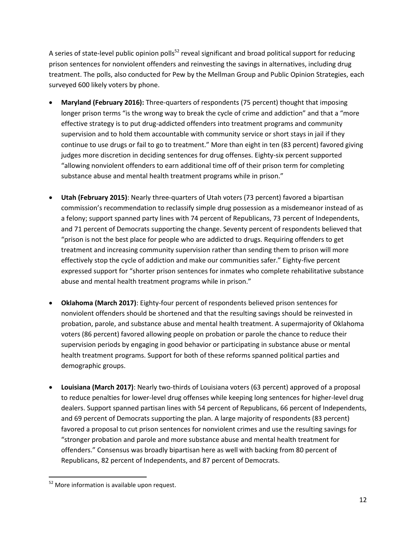A series of state-level public opinion polls<sup>52</sup> reveal significant and broad political support for reducing prison sentences for nonviolent offenders and reinvesting the savings in alternatives, including drug treatment. The polls, also conducted for Pew by the Mellman Group and Public Opinion Strategies, each surveyed 600 likely voters by phone.

- **Maryland (February 2016):** Three-quarters of respondents (75 percent) thought that imposing longer prison terms "is the wrong way to break the cycle of crime and addiction" and that a "more effective strategy is to put drug-addicted offenders into treatment programs and community supervision and to hold them accountable with community service or short stays in jail if they continue to use drugs or fail to go to treatment." More than eight in ten (83 percent) favored giving judges more discretion in deciding sentences for drug offenses. Eighty-six percent supported "allowing nonviolent offenders to earn additional time off of their prison term for completing substance abuse and mental health treatment programs while in prison."
- **Utah (February 2015)**: Nearly three-quarters of Utah voters (73 percent) favored a bipartisan commission's recommendation to reclassify simple drug possession as a misdemeanor instead of as a felony; support spanned party lines with 74 percent of Republicans, 73 percent of Independents, and 71 percent of Democrats supporting the change. Seventy percent of respondents believed that "prison is not the best place for people who are addicted to drugs. Requiring offenders to get treatment and increasing community supervision rather than sending them to prison will more effectively stop the cycle of addiction and make our communities safer." Eighty-five percent expressed support for "shorter prison sentences for inmates who complete rehabilitative substance abuse and mental health treatment programs while in prison."
- **Oklahoma (March 2017)**: Eighty-four percent of respondents believed prison sentences for nonviolent offenders should be shortened and that the resulting savings should be reinvested in probation, parole, and substance abuse and mental health treatment. A supermajority of Oklahoma voters (86 percent) favored allowing people on probation or parole the chance to reduce their supervision periods by engaging in good behavior or participating in substance abuse or mental health treatment programs. Support for both of these reforms spanned political parties and demographic groups.
- **Louisiana (March 2017)**: Nearly two-thirds of Louisiana voters (63 percent) approved of a proposal to reduce penalties for lower-level drug offenses while keeping long sentences for higher-level drug dealers. Support spanned partisan lines with 54 percent of Republicans, 66 percent of Independents, and 69 percent of Democrats supporting the plan. A large majority of respondents (83 percent) favored a proposal to cut prison sentences for nonviolent crimes and use the resulting savings for "stronger probation and parole and more substance abuse and mental health treatment for offenders." Consensus was broadly bipartisan here as well with backing from 80 percent of Republicans, 82 percent of Independents, and 87 percent of Democrats.

 $\overline{\phantom{a}}$ <sup>52</sup> More information is available upon request.